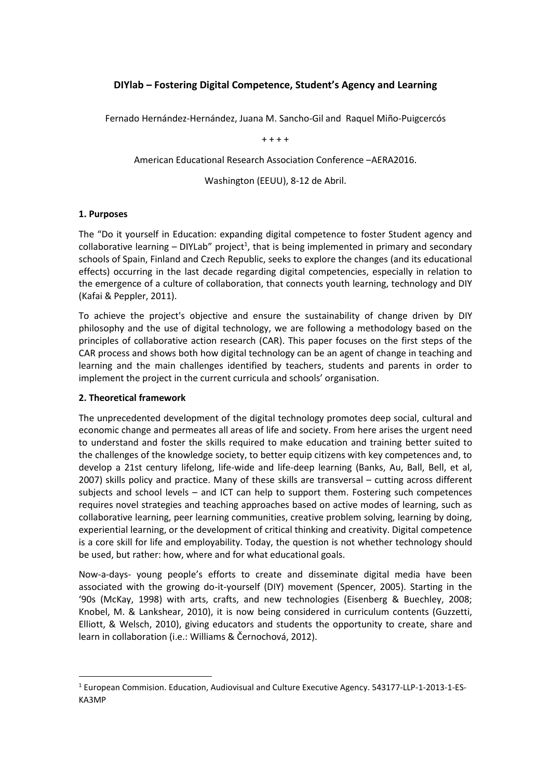# **DIYlab – Fostering Digital Competence, Student's Agency and Learning**

Fernado Hernández-Hernández, Juana M. Sancho-Gil and Raquel Miño-Puigcercós

+ + + +

American Educational Research Association Conference –AERA2016.

Washington (EEUU), 8-12 de Abril.

#### **1. Purposes**

The "Do it yourself in Education: expanding digital competence to foster Student agency and  $collaborative$  learning  $-$  DIYLab" project<sup>1</sup>, that is being implemented in primary and secondary schools of Spain, Finland and Czech Republic, seeks to explore the changes (and its educational effects) occurring in the last decade regarding digital competencies, especially in relation to the emergence of a culture of collaboration, that connects youth learning, technology and DIY (Kafai & Peppler, 2011).

To achieve the project's objective and ensure the sustainability of change driven by DIY philosophy and the use of digital technology, we are following a methodology based on the principles of collaborative action research (CAR). This paper focuses on the first steps of the CAR process and shows both how digital technology can be an agent of change in teaching and learning and the main challenges identified by teachers, students and parents in order to implement the project in the current curricula and schools' organisation.

#### **2. Theoretical framework**

**.** 

The unprecedented development of the digital technology promotes deep social, cultural and economic change and permeates all areas of life and society. From here arises the urgent need to understand and foster the skills required to make education and training better suited to the challenges of the knowledge society, to better equip citizens with key competences and, to develop a 21st century lifelong, life-wide and life-deep learning (Banks, Au, Ball, Bell, et al, 2007) skills policy and practice. Many of these skills are transversal – cutting across different subjects and school levels – and ICT can help to support them. Fostering such competences requires novel strategies and teaching approaches based on active modes of learning, such as collaborative learning, peer learning communities, creative problem solving, learning by doing, experiential learning, or the development of critical thinking and creativity. Digital competence is a core skill for life and employability. Today, the question is not whether technology should be used, but rather: how, where and for what educational goals.

Now-a-days- young people's efforts to create and disseminate digital media have been associated with the growing do-it-yourself (DIY) movement (Spencer, 2005). Starting in the '90s (McKay, 1998) with arts, crafts, and new technologies (Eisenberg & Buechley, 2008; Knobel, M. & Lankshear, 2010), it is now being considered in curriculum contents (Guzzetti, Elliott, & Welsch, 2010), giving educators and students the opportunity to create, share and learn in collaboration (i.e.: Williams & Černochová, 2012).

<sup>1</sup> European Commision. Education, Audiovisual and Culture Executive Agency. 543177-LLP-1-2013-1-ES-KA3MP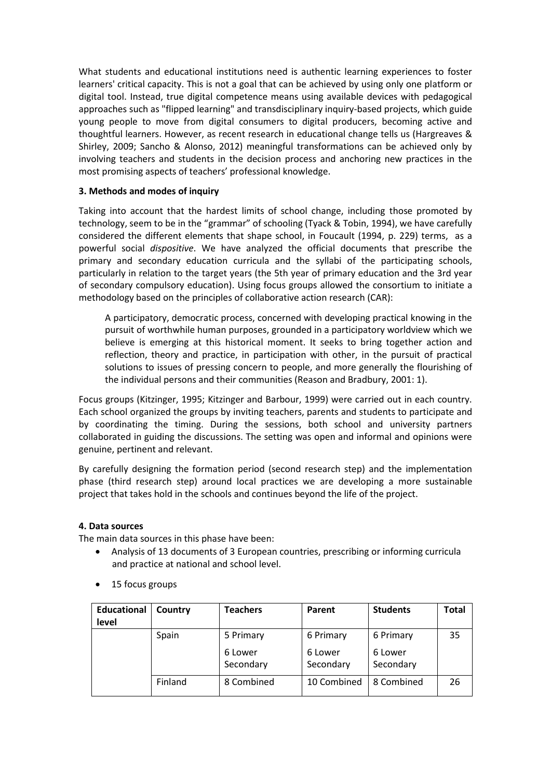What students and educational institutions need is authentic learning experiences to foster learners' critical capacity. This is not a goal that can be achieved by using only one platform or digital tool. Instead, true digital competence means using available devices with pedagogical approaches such as "flipped learning" and transdisciplinary inquiry-based projects, which guide young people to move from digital consumers to digital producers, becoming active and thoughtful learners. However, as recent research in educational change tells us (Hargreaves & Shirley, 2009; Sancho & Alonso, 2012) meaningful transformations can be achieved only by involving teachers and students in the decision process and anchoring new practices in the most promising aspects of teachers' professional knowledge.

#### **3. Methods and modes of inquiry**

Taking into account that the hardest limits of school change, including those promoted by technology, seem to be in the "grammar" of schooling (Tyack & Tobin, 1994), we have carefully considered the different elements that shape school, in Foucault (1994, p. 229) terms, as a powerful social *dispositive*. We have analyzed the official documents that prescribe the primary and secondary education curricula and the syllabi of the participating schools, particularly in relation to the target years (the 5th year of primary education and the 3rd year of secondary compulsory education). Using focus groups allowed the consortium to initiate a methodology based on the principles of collaborative action research (CAR):

A participatory, democratic process, concerned with developing practical knowing in the pursuit of worthwhile human purposes, grounded in a participatory worldview which we believe is emerging at this historical moment. It seeks to bring together action and reflection, theory and practice, in participation with other, in the pursuit of practical solutions to issues of pressing concern to people, and more generally the flourishing of the individual persons and their communities (Reason and Bradbury, 2001: 1).

Focus groups (Kitzinger, 1995; Kitzinger and Barbour, 1999) were carried out in each country. Each school organized the groups by inviting teachers, parents and students to participate and by coordinating the timing. During the sessions, both school and university partners collaborated in guiding the discussions. The setting was open and informal and opinions were genuine, pertinent and relevant.

By carefully designing the formation period (second research step) and the implementation phase (third research step) around local practices we are developing a more sustainable project that takes hold in the schools and continues beyond the life of the project.

## **4. Data sources**

The main data sources in this phase have been:

- Analysis of 13 documents of 3 European countries, prescribing or informing curricula and practice at national and school level.
- **Educational level Country Teachers Parent Students Total** Spain 15 Primary 6 Lower **Secondary** 6 Primary 6 Lower Secondary 6 Primary 6 Lower Secondary 35 Finland 8 Combined 10 Combined 8 Combined 26
- 15 focus groups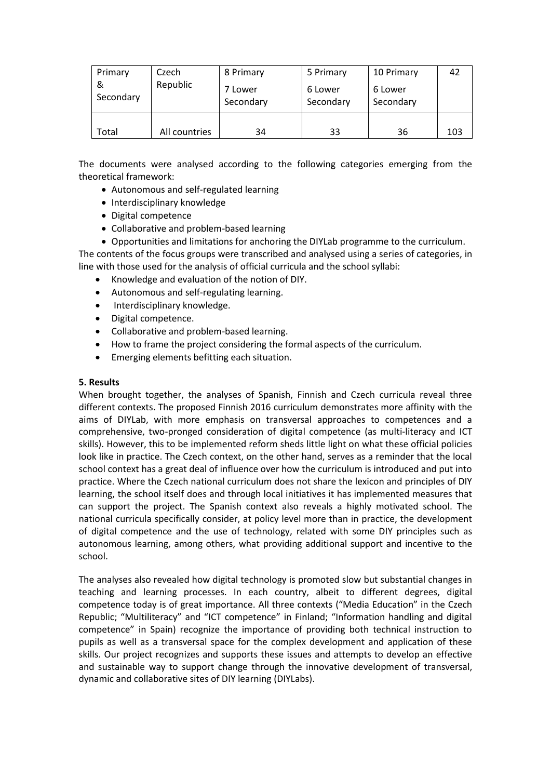| Primary<br>&<br>Secondary | Czech<br>Republic | 8 Primary<br>7 Lower | 5 Primary<br>6 Lower | 10 Primary<br>6 Lower | 42  |
|---------------------------|-------------------|----------------------|----------------------|-----------------------|-----|
|                           |                   | Secondary            | Secondary            | Secondary             |     |
|                           |                   |                      |                      |                       |     |
| Total                     | All countries     | 34                   | 33                   | 36                    | 103 |

The documents were analysed according to the following categories emerging from the theoretical framework:

- Autonomous and self-regulated learning
- Interdisciplinary knowledge
- Digital competence
- Collaborative and problem-based learning

 Opportunities and limitations for anchoring the DIYLab programme to the curriculum. The contents of the focus groups were transcribed and analysed using a series of categories, in line with those used for the analysis of official curricula and the school syllabi:

- Knowledge and evaluation of the notion of DIY.
- Autonomous and self-regulating learning.
- Interdisciplinary knowledge.
- Digital competence.
- Collaborative and problem-based learning.
- How to frame the project considering the formal aspects of the curriculum.
- Emerging elements befitting each situation.

### **5. Results**

When brought together, the analyses of Spanish, Finnish and Czech curricula reveal three different contexts. The proposed Finnish 2016 curriculum demonstrates more affinity with the aims of DIYLab, with more emphasis on transversal approaches to competences and a comprehensive, two-pronged consideration of digital competence (as multi-literacy and ICT skills). However, this to be implemented reform sheds little light on what these official policies look like in practice. The Czech context, on the other hand, serves as a reminder that the local school context has a great deal of influence over how the curriculum is introduced and put into practice. Where the Czech national curriculum does not share the lexicon and principles of DIY learning, the school itself does and through local initiatives it has implemented measures that can support the project. The Spanish context also reveals a highly motivated school. The national curricula specifically consider, at policy level more than in practice, the development of digital competence and the use of technology, related with some DIY principles such as autonomous learning, among others, what providing additional support and incentive to the school.

The analyses also revealed how digital technology is promoted slow but substantial changes in teaching and learning processes. In each country, albeit to different degrees, digital competence today is of great importance. All three contexts ("Media Education" in the Czech Republic; "Multiliteracy" and "ICT competence" in Finland; "Information handling and digital competence" in Spain) recognize the importance of providing both technical instruction to pupils as well as a transversal space for the complex development and application of these skills. Our project recognizes and supports these issues and attempts to develop an effective and sustainable way to support change through the innovative development of transversal, dynamic and collaborative sites of DIY learning (DIYLabs).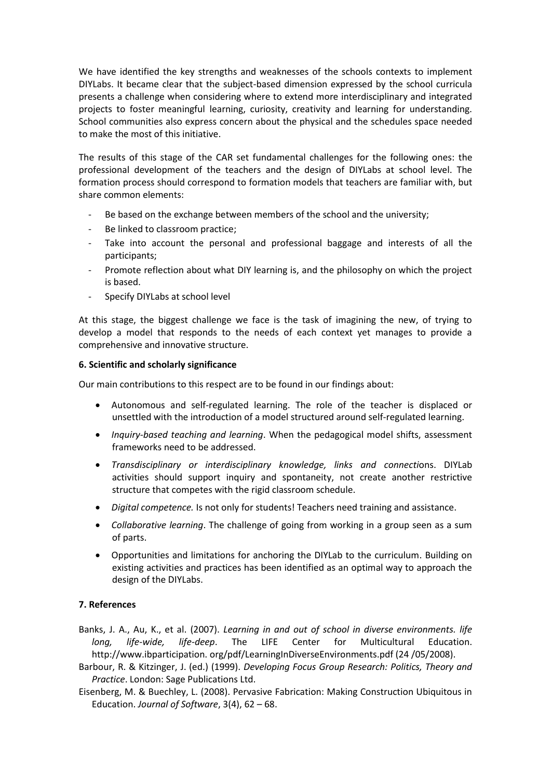We have identified the key strengths and weaknesses of the schools contexts to implement DIYLabs. It became clear that the subject-based dimension expressed by the school curricula presents a challenge when considering where to extend more interdisciplinary and integrated projects to foster meaningful learning, curiosity, creativity and learning for understanding. School communities also express concern about the physical and the schedules space needed to make the most of this initiative.

The results of this stage of the CAR set fundamental challenges for the following ones: the professional development of the teachers and the design of DIYLabs at school level. The formation process should correspond to formation models that teachers are familiar with, but share common elements:

- Be based on the exchange between members of the school and the university;
- Be linked to classroom practice;
- Take into account the personal and professional baggage and interests of all the participants;
- Promote reflection about what DIY learning is, and the philosophy on which the project is based.
- Specify DIYLabs at school level

At this stage, the biggest challenge we face is the task of imagining the new, of trying to develop a model that responds to the needs of each context yet manages to provide a comprehensive and innovative structure.

## **6. Scientific and scholarly significance**

Our main contributions to this respect are to be found in our findings about:

- Autonomous and self-regulated learning. The role of the teacher is displaced or unsettled with the introduction of a model structured around self-regulated learning.
- *Inquiry-based teaching and learning*. When the pedagogical model shifts, assessment frameworks need to be addressed.
- *Transdisciplinary or interdisciplinary knowledge, links and connecti*ons. DIYLab activities should support inquiry and spontaneity, not create another restrictive structure that competes with the rigid classroom schedule.
- *Digital competence.* Is not only for students! Teachers need training and assistance.
- *Collaborative learning*. The challenge of going from working in a group seen as a sum of parts.
- Opportunities and limitations for anchoring the DIYLab to the curriculum. Building on existing activities and practices has been identified as an optimal way to approach the design of the DIYLabs.

## **7. References**

- Banks, J. A., Au, K., et al. (2007). *Learning in and out of school in diverse environments. life long, life-wide, life-deep*. The LIFE Center for Multicultural Education. http://www.ibparticipation. org/pdf/LearningInDiverseEnvironments.pdf (24 /05/2008).
- Barbour, R. & Kitzinger, J. (ed.) (1999). *Developing Focus Group Research: Politics, Theory and Practice*. London: Sage Publications Ltd.
- Eisenberg, M. & Buechley, L. (2008). Pervasive Fabrication: Making Construction Ubiquitous in Education. *Journal of Software*, 3(4), 62 – 68.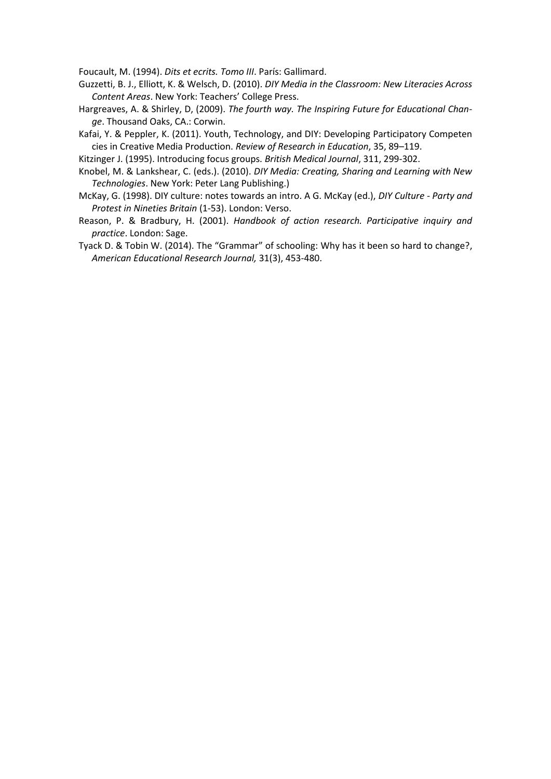Foucault, M. (1994). *Dits et ecrits. Tomo III*. París: Gallimard.

- Guzzetti, B. J., Elliott, K. & Welsch, D. (2010). *DIY Media in the Classroom: New Literacies Across Content Areas*. New York: Teachers' College Press.
- Hargreaves, A. & Shirley, D, (2009). *The fourth way. The Inspiring Future for Educational Change*. Thousand Oaks, CA.: Corwin.
- Kafai, Y. & Peppler, K. (2011). Youth, Technology, and DIY: Developing Participatory Competen cies in Creative Media Production. *Review of Research in Education*, 35, 89–119.

Kitzinger J. (1995). Introducing focus groups. *British Medical Journal*, 311, 299-302.

- Knobel, M. & Lankshear, C. (eds.). (2010). *DIY Media: Creating, Sharing and Learning with New Technologies*. New York: Peter Lang Publishing.)
- McKay, G. (1998). DIY culture: notes towards an intro. A G. McKay (ed.), *DIY Culture - Party and Protest in Nineties Britain* (1-53). London: Verso.
- Reason, P. & Bradbury, H. (2001). *Handbook of action research. Participative inquiry and practice*. London: Sage.
- Tyack D. & Tobin W. (2014). The "Grammar" of schooling: Why has it been so hard to change?, *American Educational Research Journal,* 31(3), 453-480.